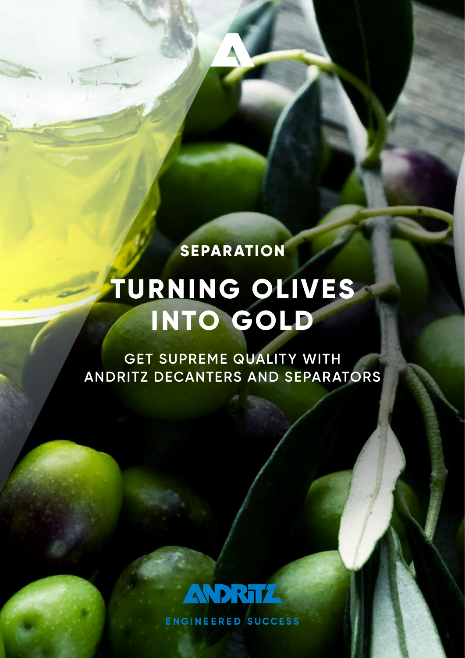**SEPARATION**

# **TURNING OLIVES INTO GOLD**

**GET SUPREME QUALITY WITH ANDRITZ DECANTERS AND SEPARATORS**



**ENGINEERED SUCCESS**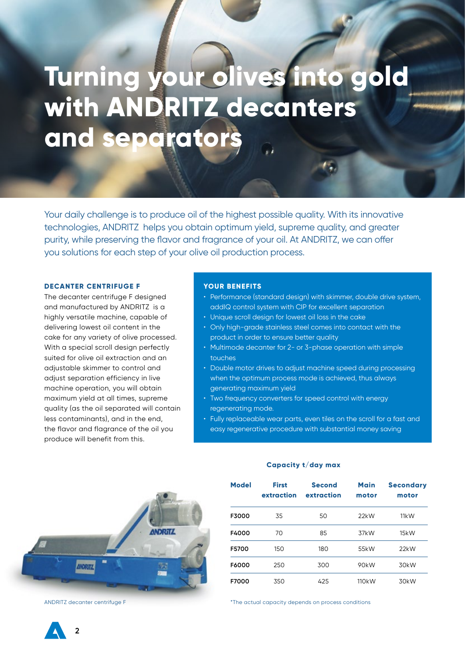# **Turning your olives into gold with ANDRITZ decanters and separators**

Your daily challenge is to produce oil of the highest possible quality. With its innovative technologies, ANDRITZ helps you obtain optimum yield, supreme quality, and greater purity, while preserving the flavor and fragrance of your oil. At ANDRITZ, we can offer you solutions for each step of your olive oil production process.

#### **DECANTER CENTRIFUGE F**

The decanter centrifuge F designed and manufactured by ANDRITZ is a highly versatile machine, capable of delivering lowest oil content in the cake for any variety of olive processed. With a special scroll design perfectly suited for olive oil extraction and an adjustable skimmer to control and adjust separation efficiency in live machine operation, you will obtain maximum yield at all times, supreme quality (as the oil separated will contain less contaminants), and in the end, the flavor and flagrance of the oil you produce will benefit from this.

#### **YOUR BENEFITS**

- Performance (standard design) with skimmer, double drive system, addIQ control system with CIP for excellent separation
- Unique scroll design for lowest oil loss in the cake
- Only high-grade stainless steel comes into contact with the product in order to ensure better quality
- Multimode decanter for 2- or 3-phase operation with simple touches
- Double motor drives to adjust machine speed during processing when the optimum process mode is achieved, thus always generating maximum yield
- Two frequency converters for speed control with energy regenerating mode.
- Fully replaceable wear parts, even tiles on the scroll for a fast and easy regenerative procedure with substantial money saving



| <b>Model</b> | <b>First</b><br>extraction | <b>Second</b><br>extraction | <b>Main</b><br>motor | <b>Secondary</b><br>motor |
|--------------|----------------------------|-----------------------------|----------------------|---------------------------|
| F3000        | 35                         | 50                          | 22kW                 | 11kW                      |
| F4000        | 70                         | 85                          | 37kW                 | 15kW                      |
| F5700        | 150                        | 180                         | 55kW                 | 22kW                      |
| F6000        | 250                        | 300                         | 90kW                 | 30 <sub>k</sub> W         |
| F7000        | 350                        | 425                         | 110 <sub>k</sub> W   | 30kW                      |

## **Capacity t/day max**

ANDRITZ decanter centrifuge F  $\blacksquare$ 

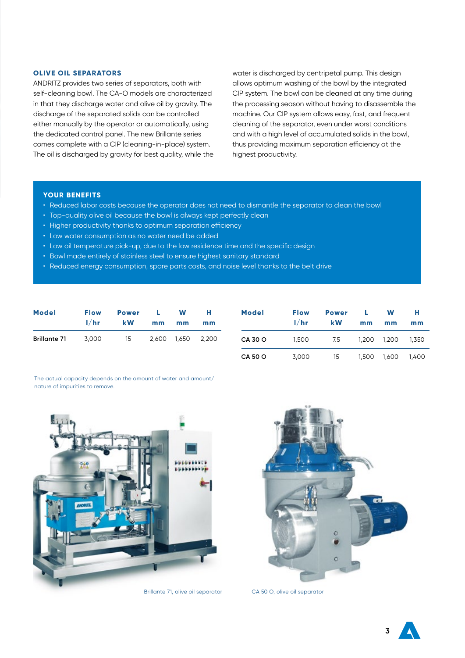### **OLIVE OIL SEPARATORS**

ANDRITZ provides two series of separators, both with self-cleaning bowl. The CA-O models are characterized in that they discharge water and olive oil by gravity. The discharge of the separated solids can be controlled either manually by the operator or automatically, using the dedicated control panel. The new Brillante series comes complete with a CIP (cleaning-in-place) system. The oil is discharged by gravity for best quality, while the water is discharged by centripetal pump. This design allows optimum washing of the bowl by the integrated CIP system. The bowl can be cleaned at any time during the processing season without having to disassemble the machine. Our CIP system allows easy, fast, and frequent cleaning of the separator, even under worst conditions and with a high level of accumulated solids in the bowl, thus providing maximum separation efficiency at the highest productivity.

### **YOUR BENEFITS**

- Reduced labor costs because the operator does not need to dismantle the separator to clean the bowl
- Top-quality olive oil because the bowl is always kept perfectly clean
- Higher productivity thanks to optimum separation efficiency
- Low water consumption as no water need be added
- Low oil temperature pick-up, due to the low residence time and the specific design
- Bowl made entirely of stainless steel to ensure highest sanitary standard
- Reduced energy consumption, spare parts costs, and noise level thanks to the belt drive

| <b>Model</b>        | <b>Flow</b> | <b>Power</b> |       | W     | н     |
|---------------------|-------------|--------------|-------|-------|-------|
|                     | 1/hr        | <b>kW</b>    | mm    | mm    | mm    |
| <b>Brillante 71</b> | 3.000       | 15           | 2.600 | 1.650 | 2.200 |

| <b>Model</b>   | <b>Flow</b><br>1/hr | <b>Power</b><br><b>kW</b> | Ш<br>mm | W<br>mm | н<br>mm |
|----------------|---------------------|---------------------------|---------|---------|---------|
| <b>CA 30 O</b> | 1,500               | 7.5                       | 1.200   | 1.200   | 1.350   |
| <b>CA 50 O</b> | 3,000               | 15                        | 1.500   | 1.600   | 1.400   |

The actual capacity depends on the amount of water and amount/ nature of impurities to remove.



Brillante 71, olive oil separator CA 50 O, olive oil separator